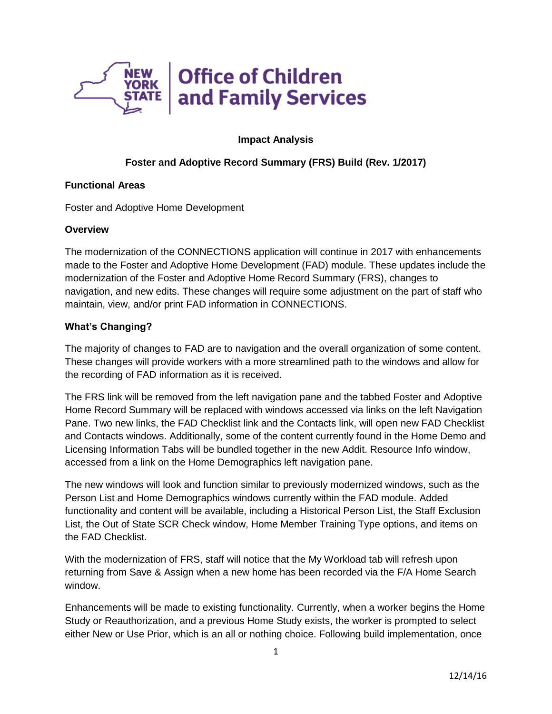

### **Impact Analysis**

## **Foster and Adoptive Record Summary (FRS) Build (Rev. 1/2017)**

### **Functional Areas**

Foster and Adoptive Home Development

## **Overview**

The modernization of the CONNECTIONS application will continue in 2017 with enhancements made to the Foster and Adoptive Home Development (FAD) module. These updates include the modernization of the Foster and Adoptive Home Record Summary (FRS), changes to navigation, and new edits. These changes will require some adjustment on the part of staff who maintain, view, and/or print FAD information in CONNECTIONS.

# **What's Changing?**

The majority of changes to FAD are to navigation and the overall organization of some content. These changes will provide workers with a more streamlined path to the windows and allow for the recording of FAD information as it is received.

The FRS link will be removed from the left navigation pane and the tabbed Foster and Adoptive Home Record Summary will be replaced with windows accessed via links on the left Navigation Pane. Two new links, the FAD Checklist link and the Contacts link, will open new FAD Checklist and Contacts windows. Additionally, some of the content currently found in the Home Demo and Licensing Information Tabs will be bundled together in the new Addit. Resource Info window, accessed from a link on the Home Demographics left navigation pane.

The new windows will look and function similar to previously modernized windows, such as the Person List and Home Demographics windows currently within the FAD module. Added functionality and content will be available, including a Historical Person List, the Staff Exclusion List, the Out of State SCR Check window, Home Member Training Type options, and items on the FAD Checklist.

With the modernization of FRS, staff will notice that the My Workload tab will refresh upon returning from Save & Assign when a new home has been recorded via the F/A Home Search window.

Enhancements will be made to existing functionality. Currently, when a worker begins the Home Study or Reauthorization, and a previous Home Study exists, the worker is prompted to select either New or Use Prior, which is an all or nothing choice. Following build implementation, once